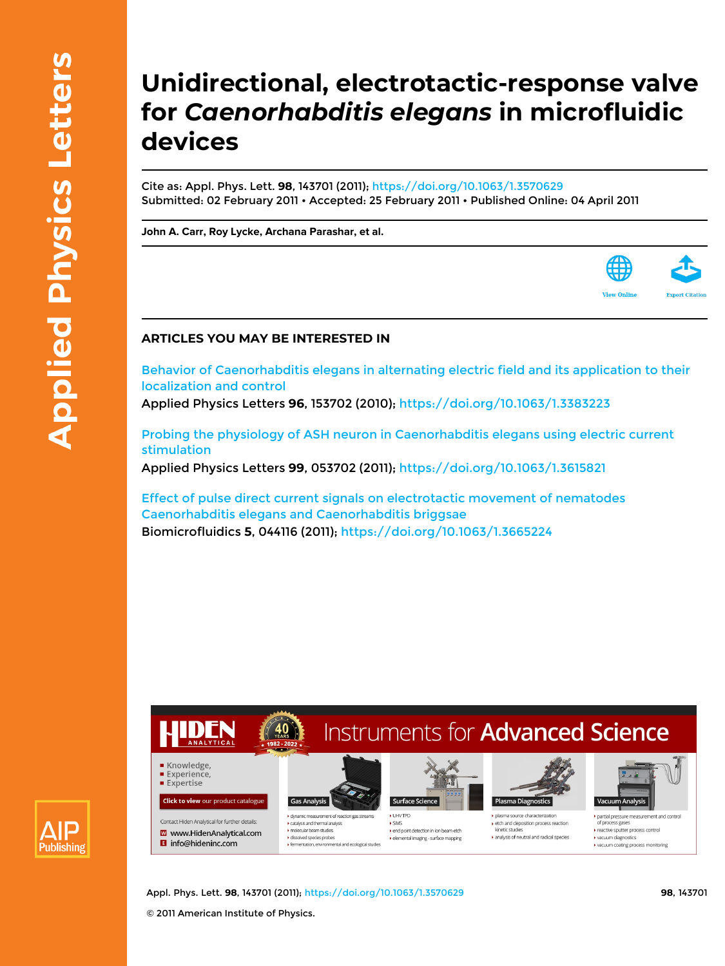### **Unidirectional, electrotactic-response valve for** *Caenorhabditis elegans* **in microfluidic devices**

Cite as: Appl. Phys. Lett. **98**, 143701 (2011); <https://doi.org/10.1063/1.3570629> Submitted: 02 February 2011 • Accepted: 25 February 2011 • Published Online: 04 April 2011

**[John A. Carr,](https://aip.scitation.org/author/Carr%2C+John+A) [Roy Lycke,](https://aip.scitation.org/author/Lycke%2C+Roy) [Archana Parashar,](https://aip.scitation.org/author/Parashar%2C+Archana) et al.**



#### **ARTICLES YOU MAY BE INTERESTED IN**

[Behavior of Caenorhabditis elegans in alternating electric field and its application to their](https://aip.scitation.org/doi/10.1063/1.3383223) [localization and control](https://aip.scitation.org/doi/10.1063/1.3383223)

Applied Physics Letters **96**, 153702 (2010);<https://doi.org/10.1063/1.3383223>

[Probing the physiology of ASH neuron in Caenorhabditis elegans using electric current](https://aip.scitation.org/doi/10.1063/1.3615821) [stimulation](https://aip.scitation.org/doi/10.1063/1.3615821) Applied Physics Letters **99**, 053702 (2011);<https://doi.org/10.1063/1.3615821>

[Effect of pulse direct current signals on electrotactic movement of nematodes](https://aip.scitation.org/doi/10.1063/1.3665224) [Caenorhabditis elegans and Caenorhabditis briggsae](https://aip.scitation.org/doi/10.1063/1.3665224) Biomicrofluidics **5**, 044116 (2011);<https://doi.org/10.1063/1.3665224>

# **Publishing**

## **Instruments for Advanced Science**



**Click to view our product catalogue** Contact Hiden Analytical for further details

**W** www.HidenAnalytical.com **B** info@hideninc.com

I dynamic measurement of reaction gas str catalysis and thermal analysis molecular beam studies → insecual searn search<br>→ dissolved species probes<br>→ fermentation, environmental and ecological studies

I UHV TPD  $\overline{\bullet}$  SIMS



end point detection in ion beam etch • elemental imaging - surface mapping



→ etch and deposition process reaction analysis of neutral and radical species



partial pressure measurement and control of process gases reactive soutter process control → reactive spacer process control<br>→ vacuum diagnostics<br>→ vacuum coating process monitoring

Appl. Phys. Lett. **98**, 143701 (2011); <https://doi.org/10.1063/1.3570629> **98**, 143701 © 2011 American Institute of Physics.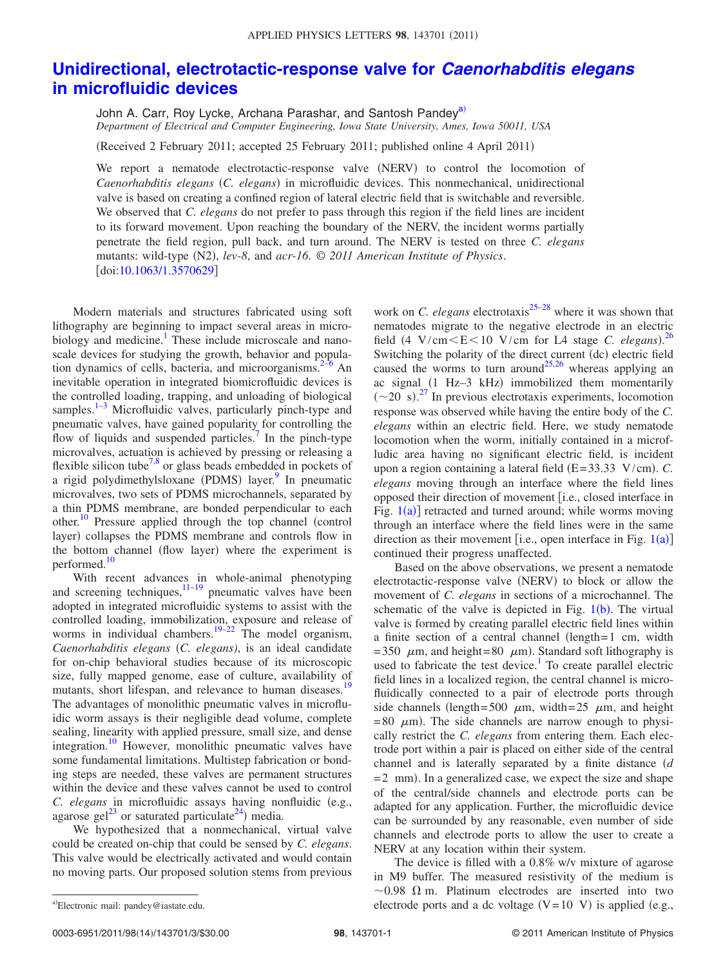### **[Unidirectional, electrotactic-response valve for](http://dx.doi.org/10.1063/1.3570629)** *Caenorhabditis elegans* **[in microfluidic devices](http://dx.doi.org/10.1063/1.3570629)**

John A. Carr, Roy Lycke, Archana Parashar, and Santosh Pandey<sup>a)</sup> *Department of Electrical and Computer Engineering, Iowa State University, Ames, Iowa 50011, USA*

(Received 2 February 2011; accepted 25 February 2011; published online 4 April 2011)

We report a nematode electrotactic-response valve (NERV) to control the locomotion of *Caenorhabditis elegans* (C. elegans) in microfluidic devices. This nonmechanical, unidirectional valve is based on creating a confined region of lateral electric field that is switchable and reversible. We observed that *C. elegans* do not prefer to pass through this region if the field lines are incident to its forward movement. Upon reaching the boundary of the NERV, the incident worms partially penetrate the field region, pull back, and turn around. The NERV is tested on three *C. elegans* mutants: wild-type (N2), *lev-8*, and *acr-16*. © 2011 American Institute of Physics. doi[:10.1063/1.3570629](http://dx.doi.org/10.1063/1.3570629)

Modern materials and structures fabricated using soft lithography are beginning to impact several areas in microbiology and medicine.<sup>1</sup> These include microscale and nanoscale devices for studying the growth, behavior and population dynamics of cells, bacteria, and microorganisms. $2-6$  $2-6$  An inevitable operation in integrated biomicrofluidic devices is the controlled loading, trapping, and unloading of biological samples. $1-3$  $1-3$  Microfluidic valves, particularly pinch-type and pneumatic valves, have gained popularity for controlling the flow of liquids and suspended particles.<sup>7</sup> In the pinch-type microvalves, actuation is achieved by pressing or releasing a flexible silicon tube<sup>7,[8](#page-3-5)</sup> or glass beads embedded in pockets of a rigid polydimethylsloxane (PDMS) layer.<sup>9</sup> In pneumatic microvalves, two sets of PDMS microchannels, separated by a thin PDMS membrane, are bonded perpendicular to each other.<sup>10</sup> Pressure applied through the top channel (control layer) collapses the PDMS membrane and controls flow in the bottom channel (flow layer) where the experiment is performed.<sup>10</sup>

With recent advances in whole-animal phenotyping and screening techniques, $11-19$  $11-19$  pneumatic valves have been adopted in integrated microfluidic systems to assist with the controlled loading, immobilization, exposure and release of worms in individual chambers.<sup>19–[22](#page-3-10)</sup> The model organism, Caenorhabditis elegans (C. elegans), is an ideal candidate for on-chip behavioral studies because of its microscopic size, fully mapped genome, ease of culture, availability of mutants, short lifespan, and relevance to human diseases.<sup>19</sup> The advantages of monolithic pneumatic valves in microfluidic worm assays is their negligible dead volume, complete sealing, linearity with applied pressure, small size, and dense integration[.10](#page-3-7) However, monolithic pneumatic valves have some fundamental limitations. Multistep fabrication or bonding steps are needed, these valves are permanent structures within the device and these valves cannot be used to control *C. elegans* in microfluidic assays having nonfluidic (e.g., agarose gel<sup>23</sup> or saturated particulate<sup>24</sup>) media.

We hypothesized that a nonmechanical, virtual valve could be created on-chip that could be sensed by *C. elegans*. This valve would be electrically activated and would contain no moving parts. Our proposed solution stems from previous

work on *C. elegans* electrotaxis<sup>25–[28](#page-3-14)</sup> where it was shown that nematodes migrate to the negative electrode in an electric field  $(4 \text{ V/cm} < E < 10 \text{ V/cm}$  for L4 stage *C. elegans*).<sup>[26](#page-3-15)</sup> Switching the polarity of the direct current (dc) electric field caused the worms to turn around<sup>25,[26](#page-3-15)</sup> whereas applying an ac signal (1 Hz-3 kHz) immobilized them momentarily  $(\sim 20 \text{ s})$ .<sup>[27](#page-3-16)</sup> In previous electrotaxis experiments, locomotion response was observed while having the entire body of the *C. elegans* within an electric field. Here, we study nematode locomotion when the worm, initially contained in a microfludic area having no significant electric field, is incident upon a region containing a lateral field  $(E=33.33 \text{ V/cm})$ . *C*. *elegans* moving through an interface where the field lines opposed their direction of movement [i.e., closed interface in Fig.  $1(a)$  $1(a)$  retracted and turned around; while worms moving through an interface where the field lines were in the same direction as their movement [i.e., open interface in Fig.  $1(a)$  $1(a)$ ] continued their progress unaffected.

Based on the above observations, we present a nematode electrotactic-response valve (NERV) to block or allow the movement of *C. elegans* in sections of a microchannel. The schematic of the valve is depicted in Fig.  $1(b)$  $1(b)$ . The virtual valve is formed by creating parallel electric field lines within a finite section of a central channel (length=1 cm, width = 350  $\mu$ m, and height= 80  $\mu$ m). Standard soft lithography is used to fabricate the test device.<sup>1</sup> To create parallel electric field lines in a localized region, the central channel is microfluidically connected to a pair of electrode ports through side channels (length=500  $\mu$ m, width=25  $\mu$ m, and height  $= 80 \mu m$ ). The side channels are narrow enough to physically restrict the *C. elegans* from entering them. Each electrode port within a pair is placed on either side of the central channel and is laterally separated by a finite distance  $(d)$  $= 2$  mm. In a generalized case, we expect the size and shape of the central/side channels and electrode ports can be adapted for any application. Further, the microfluidic device can be surrounded by any reasonable, even number of side channels and electrode ports to allow the user to create a NERV at any location within their system.

<span id="page-1-0"></span>The device is filled with a 0.8% w/v mixture of agarose in M9 buffer. The measured resistivity of the medium is  $\sim$  0.98  $\Omega$  m. Platinum electrodes are inserted into two a)Electronic mail: pandey@iastate.edu. <br>
electrode ports and a dc voltage  $(V=10 \ V)$  is applied (e.g.,

a)Electronic mail: pandey@iastate.edu.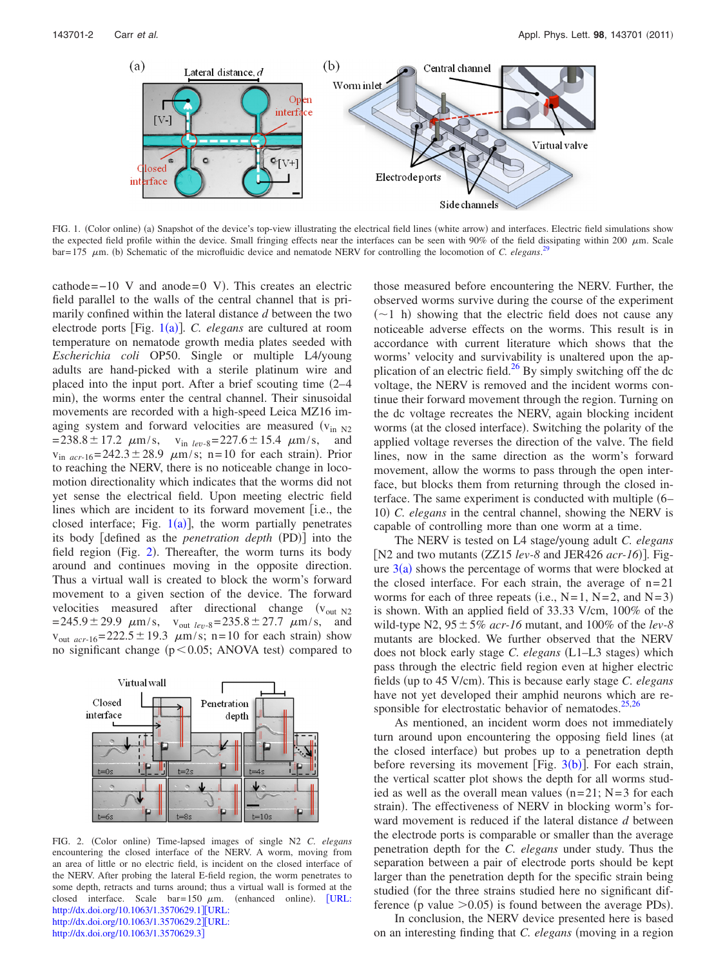<span id="page-2-0"></span>

FIG. 1. (Color online) (a) Snapshot of the device's top-view illustrating the electrical field lines (white arrow) and interfaces. Electric field simulations show the expected field profile within the device. Small fringing effects near the interfaces can be seen with 90% of the field dissipating within 200  $\mu$ m. Scale  $bar= 175 \mu m$ . (b) Schematic of the microfluidic device and nematode NERV for controlling the locomotion of *C. elegans*.<sup>[29](#page-3-18)</sup>

 $cathode=-10$  V and anode= $0$  V). This creates an electric field parallel to the walls of the central channel that is primarily confined within the lateral distance *d* between the two electrode ports [Fig. [1](#page-2-0)(a)]. C. *elegans* are cultured at room temperature on nematode growth media plates seeded with *Escherichia coli* OP50. Single or multiple L4/young adults are hand-picked with a sterile platinum wire and placed into the input port. After a brief scouting time (2-4 min), the worms enter the central channel. Their sinusoidal movements are recorded with a high-speed Leica MZ16 imaging system and forward velocities are measured  $(v_{in N2})$  $= 238.8 \pm 17.2 \mu m/s$ ,  $v_{in \text{lev-}8} = 227.6 \pm 15.4 \mu m/s$ , and  $v_{in,acc-16} = 242.3 \pm 28.9$   $\mu$ m/s; n=10 for each strain). Prior to reaching the NERV, there is no noticeable change in locomotion directionality which indicates that the worms did not yet sense the electrical field. Upon meeting electric field lines which are incident to its forward movement [i.e., the closed interface; Fig.  $1(a)$  $1(a)$ ], the worm partially penetrates its body [defined as the *penetration depth* (PD)] into the field region (Fig. [2](#page-2-1)). Thereafter, the worm turns its body around and continues moving in the opposite direction. Thus a virtual wall is created to block the worm's forward movement to a given section of the device. The forward velocities measured after directional change  $(v_{out N2})$  $= 245.9 \pm 29.9$   $\mu$ m/s,  $v_{\text{out}}$  *lev*-8= 235.8 ± 27.7  $\mu$ m/s, and  $v_{\text{out } acr-16} = 222.5 \pm 19.3 \mu \text{m/s}; \text{ n} = 10 \text{ for each strain}$  show no significant change  $(p<0.05; ANOVA$  test) compared to

<span id="page-2-1"></span>

FIG. 2. (Color online) Time-lapsed images of single N2 *C. elegans* encountering the closed interface of the NERV. A worm, moving from an area of little or no electric field, is incident on the closed interface of the NERV. After probing the lateral E-field region, the worm penetrates to some depth, retracts and turns around; thus a virtual wall is formed at the closed interface. Scale  $bar=150 \mu m$ . (enhanced online). [[URL:](http://dx.doi.org/10.1063/1.3570629.1) <http://dx.doi.org/10.1063/1.3570629.1>][[URL:](http://dx.doi.org/10.1063/1.3570629.2) <http://dx.doi.org/10.1063/1.3570629.2>][[URL:](http://dx.doi.org/10.1063/1.3570629.3) <http://dx.doi.org/10.1063/1.3570629.3>]

those measured before encountering the NERV. Further, the observed worms survive during the course of the experiment  $(\sim)1$  h) showing that the electric field does not cause any noticeable adverse effects on the worms. This result is in accordance with current literature which shows that the worms' velocity and survivability is unaltered upon the application of an electric field.<sup>26</sup> By simply switching off the dc voltage, the NERV is removed and the incident worms continue their forward movement through the region. Turning on the dc voltage recreates the NERV, again blocking incident worms (at the closed interface). Switching the polarity of the applied voltage reverses the direction of the valve. The field lines, now in the same direction as the worm's forward movement, allow the worms to pass through the open interface, but blocks them from returning through the closed interface. The same experiment is conducted with multiple (6– 10 *C. elegans* in the central channel, showing the NERV is capable of controlling more than one worm at a time.

The NERV is tested on L4 stage/young adult *C. elegans* [N2 and two mutants (ZZ15 *lev-8* and JER426 *acr-16*)]. Figure  $3(a)$  $3(a)$  shows the percentage of worms that were blocked at the closed interface. For each strain, the average of  $n=21$ worms for each of three repeats (i.e.,  $N=1$ ,  $N=2$ , and  $N=3$ ) is shown. With an applied field of 33.33 V/cm, 100% of the wild-type N2,  $95 \pm 5\%$  *acr-16* mutant, and 100% of the *lev-8* mutants are blocked. We further observed that the NERV does not block early stage *C. elegans* (L1-L3 stages) which pass through the electric field region even at higher electric fields (up to 45 V/cm). This is because early stage *C. elegans* have not yet developed their amphid neurons which are responsible for electrostatic behavior of nematodes. $25,26$  $25,26$ 

As mentioned, an incident worm does not immediately turn around upon encountering the opposing field lines (at the closed interface) but probes up to a penetration depth before reversing its movement [Fig.  $3(b)$  $3(b)$ ]. For each strain, the vertical scatter plot shows the depth for all worms studied as well as the overall mean values  $(n=21; N=3$  for each strain). The effectiveness of NERV in blocking worm's forward movement is reduced if the lateral distance *d* between the electrode ports is comparable or smaller than the average penetration depth for the *C. elegans* under study. Thus the separation between a pair of electrode ports should be kept larger than the penetration depth for the specific strain being studied (for the three strains studied here no significant difference (p value  $>0.05$ ) is found between the average PDs).

In conclusion, the NERV device presented here is based on an interesting finding that *C. elegans* (moving in a region